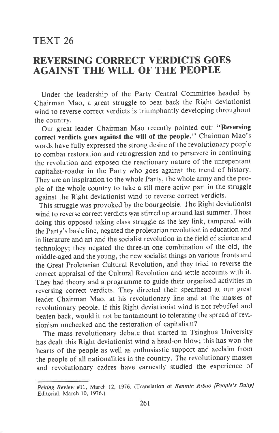## TEXT 26

## REYERSING CORRECT YERDICTS GOES AGAINST THE WILL OF THE PEOPLE

Under the leadership of the Party Central Committee headed by Chairman Mao, a great struggle to beat back the Right deviationist wind to reverse correct verdicts is triumphantly developing throughout the country.

Our great leader Chairman Mao recently pointed out: "Reversing correct verdicts goes against the will of the people." Chairman Mao's words have fully expressed the strong desire of the revolutionary people to combat restoration and retrogression and to persevere in continuing the revolution and exposed the reactionary nature of the unrepentant capitalist-roader in the Party who goes against the trend of history. They are an inspiration to the whole Party, the whole army and the people of the whole country to take a stil more active part in the struggle against the Right deviationist wind to reverse correct verdicts.

This struggle was provoked by the bourgeoisie. The Right deviationist wind to reverse correct verdicts was stirred up around last summer. Those doing this opposed taking class struggle as the key link, tampered with the Party's basic line, negated the proletarian revolution in education and in literature and art and the socialist revolution in the field of science and technology; they negated the three-in-one combination of the old, the middle-aged and the young, the new socialist things on various fronts and the Great Proletarian Cultural Revolution, and they tried to reverse the correct appraisal of the Cultural Revolution and settle accounts with it. They had theory and a programme to guide their organized activities in reversing correct verdicts. They directed their spearhead at our great leader Chairman Mao, at his revolutionary line and at the masses of revolutionary people. If this Right deviationist wind is not rebuffed and beaten back, would it not be tantamount to tolerating the spread of revisionism unchecked and the restoration of capitalism?

The mass revolutionary debate that started in Tsinghua University has dealt this Right deviationist wind a head-on blow; this has won the hearts of the people as well as enthusiastic support and acclaim from the people of all nationalities in the country. The revolutionary masses and revolutionary cadres have earnestly studied the experience of

Peking Review #11, March 12, 1976. (Translation of Renmin Ribao [People's DailyJ Editorial, March 10, 1976.)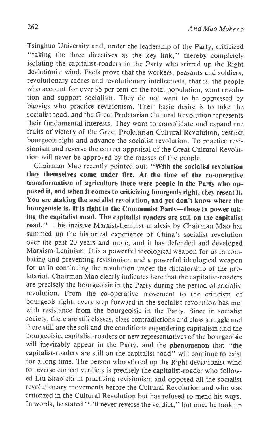Tsinghua University and, under the leadership of the party, criticized "taking the three directives as the key link," thereby completely isolating the capitalist-roaders in the Party who stirred up the Right deviationist wind. Facts prove that the workers, peasants and soldiers, revolutionary cadres and revolutionary intellectuals, that is, the people who account for over 95 per cent of the total population, want revolution and support socialism. They do not want to be oppressed by bigwigs who practice revisionism. Their basic desire is to take the socialist road, and the Great Proletarian Cultural Revolution represents their fundamental interests. They want to consolidate and expand the fruits of victory of the Great Proletarian Cultural Revolution, restrict bourgeois right and advance the socialist revolution. To practice revisionism and reverse the correct appraisal of the Great Cultural Revolution will never be approved by the masses of the people.

Chairman Mao recently pointed out: "With the socialist revolution they themselves come under fire. At the time of the co-operative transformation of agriculture there were people in the Party who opposed it, and when it comes to criticizing bourgeois right, they resent it. You are making the socialist revolution, and yet don't know where the bourgeoisie is. It is right in the Communist Party-those in power taking the capitalist road. The capitalist roaders are still on the capitalist road." This incisive Marxist-Leninist analysis by Chairman Mao has summed up the historical experience of China's socialist revolution over the past 20 years and more, and it has defended and developed Marxism-Leninism. It is a powerful ideological weapon for us in combating and preventing revisionism and a powerful ideological weapon for us in continuing the revolution under the dictatorship of the proletariat. Chairman Mao clearly indicates here that the capitalist-roaders are precisely the bourgeoisie in the Party during the period of socialist revolution. From the co-operative movement to the criticism of bourgeois right, every step forward in the socialist revolution has nret with resistance from the bourgeoisie in the Party. Since in socialist society, there are still classes, class contradictions and class struggle and there still are the soil and the conditions engendering capitalism and the bourgeoisie, capitalist-roaders or new representatives of the bourgeoisie will inevitably appear in the Party, and the phenomenon that "the capitalist-roaders are still on the capitalist road" will continue to exist for a long time. The person who stirred up the Right deviationist wind to reverse correct verdicts is precisely the capitalist-roader who followed Liu Shao-chi in practising revisionism and opposed all the socialist revolutionary movements before the Cultural Revolution and who was criticized in the Cultural Revolution but has refused to mend his ways. In words, he stated "I'll never reverse the verdict," but once he took up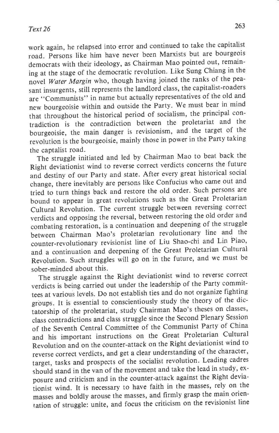work again, he relapsed into error and continued to take the capitalist road. Persons like him have never been Marxists but are bourgeois democrats with their ideology, as Chairman Mao pointed out, remaining at the stage of the democratic revolution. Like Sung Chiang in the novel Water Margin who, though having joined the ranks of the peasant insurgents, still represents the landlord class, the capitalist-roaders are "Communists" in name but actually representatives of the old and new bourgeoisie within and outside the Party. We must bear in mind that throughout the historical period of socialism, the principal contradiction is the contradiction between the proletariat and the bourgeoisie, the main danger is revisionism, and the target of the revolution is the bourgeoisie, mainly those in power in the Party taking the captalist road.

The struggle initiated and led by Chairman Mao to beat back the Right deviationist wind to reverse correct verdicts concerns the future and destiny of our Party and state. After every great historical social change, there inevitably are persons like Confucius who came out and tried to turn things back and restore the old order. Such persons are bound to appear in great revolutions such as the Great Froletarian cultural Revolution. The current struggle between reversing correct verdicts and opposing the reversal, between restoring the old order and combating restoration, is a continuation and deepening of the struggle between Chairman Mao's proletarian revolutionary line and the counter-revolutionary revisionist line of Liu Shao-chi and Lin Piao' and a continuation and deepening of the Great Proletarian cultural Revolution. Such struggles will go on in the future, and we must be sober-minded about this.

The struggle against the Right deviationist wind to reverse correct verdicts is being carried out under the leadership of the Party committees at various levels. Do not establish ties and do not organize fighting groups. It is essential to conscientiously study the theory of the dictatorship of the proletariat, study Chairman Mao's theses on classes, class contradictions and class struggle since the Second Plenary Session of the Seventh central committee of the communist Party of china and his important instructions on the Great Proletarian cultural Revolution and on the counter-attack on the Right deviationist wind to reverse correct verdicts, and get a clear understanding of the character, target, tasks and prospects of the socialist revolution. Leading cadres should stand in the van of the movement and take the lead in study, exposure and criticism and in the counter-attack against the Right deviationist wind. It is necessary to have faith in the masses, rely on the masses and boldly arouse the masses, and firmly grasp the main orienration of struggle: unite, and focus the criticism on the revisionist line